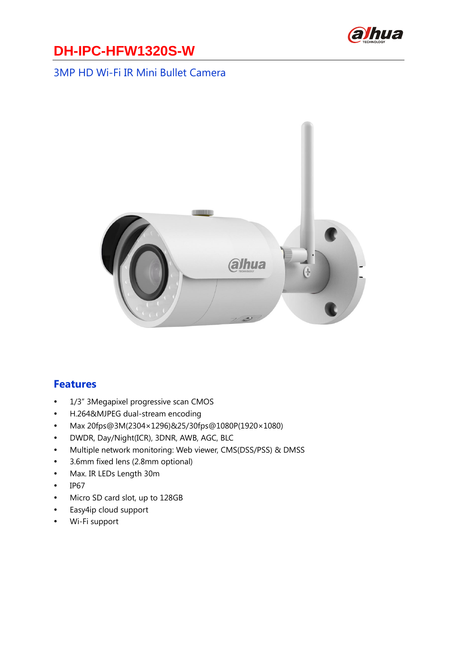

#### 3MP HD Wi-Fi IR Mini Bullet Camera



#### **Features**

- 1/3" 3Megapixel progressive scan CMOS
- H.264&MJPEG dual-stream encoding
- Max 20fps@3M(2304× 1296)&25/30fps@1080P(1920× 1080)
- DWDR, Day/Night(ICR), 3DNR, AWB, AGC, BLC
- Multiple network monitoring: Web viewer, CMS(DSS/PSS) & DMSS
- 3.6mm fixed lens (2.8mm optional)
- Max. IR LEDs Length 30m
- $\cdot$  IP67
- Micro SD card slot, up to 128GB
- Easy4ip cloud support
- Wi-Fi support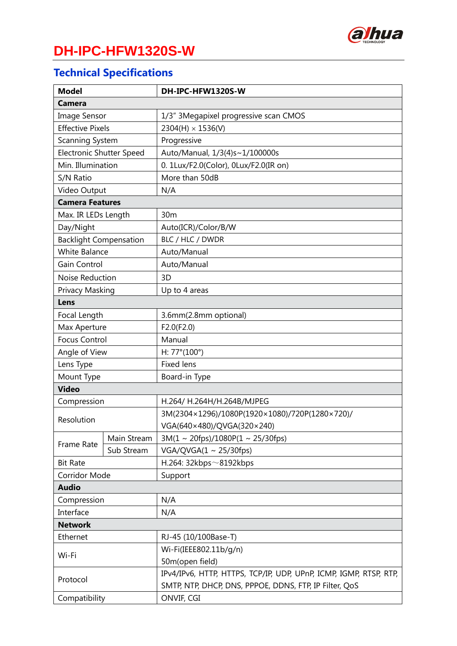

## **Technical Specifications**

| <b>Model</b>                    |             | DH-IPC-HFW1320S-W                                                 |
|---------------------------------|-------------|-------------------------------------------------------------------|
| <b>Camera</b>                   |             |                                                                   |
| <b>Image Sensor</b>             |             | 1/3" 3Megapixel progressive scan CMOS                             |
| <b>Effective Pixels</b>         |             | $2304(H) \times 1536(V)$                                          |
| <b>Scanning System</b>          |             | Progressive                                                       |
| <b>Electronic Shutter Speed</b> |             | Auto/Manual, 1/3(4)s~1/100000s                                    |
| Min. Illumination               |             | 0. 1Lux/F2.0(Color), 0Lux/F2.0(IR on)                             |
| S/N Ratio                       |             | More than 50dB                                                    |
| Video Output                    |             | N/A                                                               |
| <b>Camera Features</b>          |             |                                                                   |
| Max. IR LEDs Length             |             | 30 <sub>m</sub>                                                   |
| Day/Night                       |             | Auto(ICR)/Color/B/W                                               |
| <b>Backlight Compensation</b>   |             | BLC / HLC / DWDR                                                  |
| <b>White Balance</b>            |             | Auto/Manual                                                       |
| Gain Control                    |             | Auto/Manual                                                       |
| Noise Reduction                 |             | 3D                                                                |
| Privacy Masking                 |             | Up to 4 areas                                                     |
| Lens                            |             |                                                                   |
| Focal Length                    |             | 3.6mm(2.8mm optional)                                             |
| Max Aperture                    |             | F2.0(F2.0)                                                        |
| <b>Focus Control</b>            |             | Manual                                                            |
| Angle of View                   |             | H: $77^{\circ}(100^{\circ})$                                      |
| Lens Type                       |             | <b>Fixed lens</b>                                                 |
| Mount Type                      |             | Board-in Type                                                     |
| <b>Video</b>                    |             |                                                                   |
| Compression                     |             | H.264/ H.264H/H.264B/MJPEG                                        |
| Resolution                      |             | 3M(2304×1296)/1080P(1920×1080)/720P(1280×720)/                    |
|                                 |             | VGA(640×480)/QVGA(320×240)                                        |
| Frame Rate                      | Main Stream | $3M(1 \sim 20$ fps)/1080P(1 ~ 25/30fps)                           |
|                                 | Sub Stream  | VGA/QVGA(1 ~ 25/30fps)                                            |
| <b>Bit Rate</b>                 |             | H.264: $32kbps \sim 8192kbps$                                     |
| <b>Corridor Mode</b>            |             | Support                                                           |
| <b>Audio</b>                    |             |                                                                   |
| Compression                     |             | N/A                                                               |
| Interface                       |             | N/A                                                               |
| <b>Network</b>                  |             |                                                                   |
| Ethernet                        |             | RJ-45 (10/100Base-T)                                              |
| Wi-Fi                           |             | Wi-Fi(IEEE802.11b/g/n)                                            |
|                                 |             | 50m(open field)                                                   |
| Protocol                        |             | IPv4/IPv6, HTTP, HTTPS, TCP/IP, UDP, UPnP, ICMP, IGMP, RTSP, RTP, |
|                                 |             | SMTP, NTP, DHCP, DNS, PPPOE, DDNS, FTP, IP Filter, QoS            |
| Compatibility                   |             | ONVIF, CGI                                                        |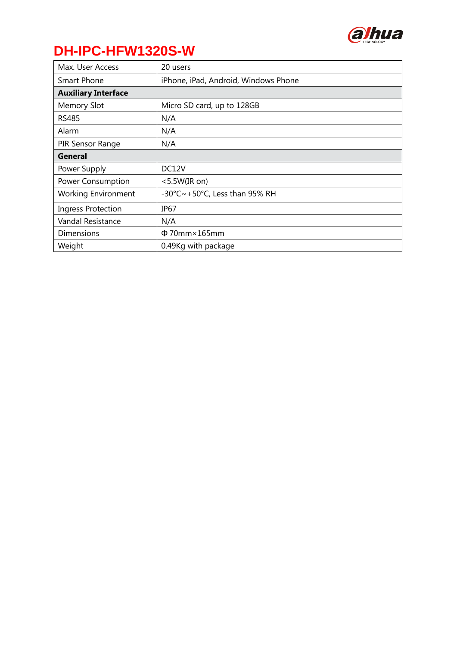

| Max. User Access           | 20 users                                                  |
|----------------------------|-----------------------------------------------------------|
| Smart Phone                | iPhone, iPad, Android, Windows Phone                      |
| <b>Auxiliary Interface</b> |                                                           |
| <b>Memory Slot</b>         | Micro SD card, up to 128GB                                |
| <b>RS485</b>               | N/A                                                       |
| Alarm                      | N/A                                                       |
| PIR Sensor Range           | N/A                                                       |
| General                    |                                                           |
| Power Supply               | DC12V                                                     |
| <b>Power Consumption</b>   | $<$ 5.5W(IR on)                                           |
| <b>Working Environment</b> | $-30^{\circ}$ C $\sim$ +50 $^{\circ}$ C, Less than 95% RH |
| <b>Ingress Protection</b>  | IP <sub>67</sub>                                          |
| Vandal Resistance          | N/A                                                       |
| <b>Dimensions</b>          | $\Phi$ 70mm $\times$ 165mm                                |
| Weight                     | 0.49Kg with package                                       |